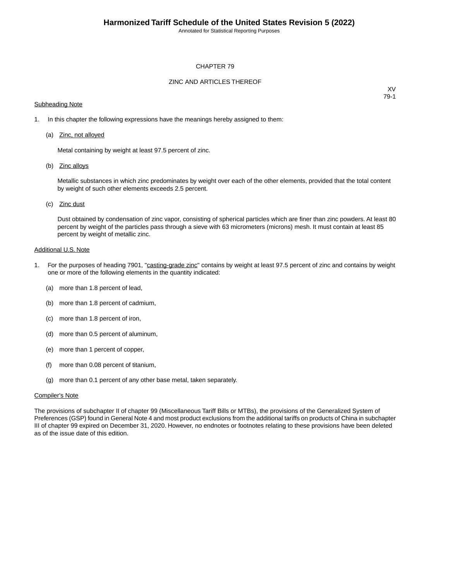Annotated for Statistical Reporting Purposes

## CHAPTER 79

## ZINC AND ARTICLES THEREOF

## **Subheading Note**

XV 79-1

- 1. In this chapter the following expressions have the meanings hereby assigned to them:
	- (a) Zinc, not alloyed

Metal containing by weight at least 97.5 percent of zinc.

(b) Zinc alloys

Metallic substances in which zinc predominates by weight over each of the other elements, provided that the total content by weight of such other elements exceeds 2.5 percent.

(c) Zinc dust

Dust obtained by condensation of zinc vapor, consisting of spherical particles which are finer than zinc powders. At least 80 percent by weight of the particles pass through a sieve with 63 micrometers (microns) mesh. It must contain at least 85 percent by weight of metallic zinc.

#### Additional U.S. Note

- 1. For the purposes of heading 7901, "casting-grade zinc" contains by weight at least 97.5 percent of zinc and contains by weight one or more of the following elements in the quantity indicated:
	- (a) more than 1.8 percent of lead,
	- (b) more than 1.8 percent of cadmium,
	- (c) more than 1.8 percent of iron,
	- (d) more than 0.5 percent of aluminum,
	- (e) more than 1 percent of copper,
	- (f) more than 0.08 percent of titanium,
	- (g) more than 0.1 percent of any other base metal, taken separately.

#### Compiler's Note

The provisions of subchapter II of chapter 99 (Miscellaneous Tariff Bills or MTBs), the provisions of the Generalized System of Preferences (GSP) found in General Note 4 and most product exclusions from the additional tariffs on products of China in subchapter III of chapter 99 expired on December 31, 2020. However, no endnotes or footnotes relating to these provisions have been deleted as of the issue date of this edition.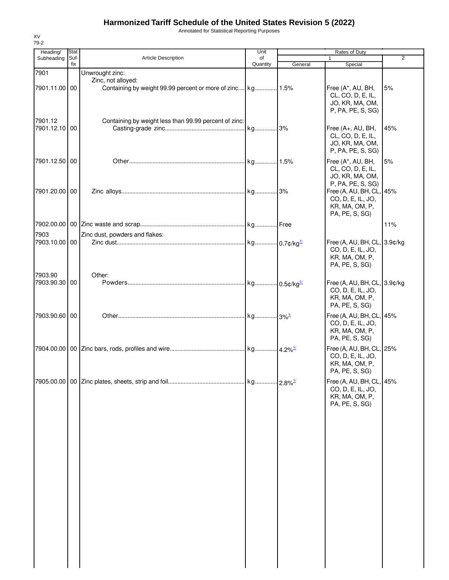# **Harmonized Tariff Schedule of the United States Revision 5 (2022)**

Annotated for Statistical Reporting Purposes

| Stat.<br>Suf-<br>fix | Article Description<br>Unwrought zinc:                | Unit<br>of<br>Quantity | General | Rates of Duty<br>$\mathbf{1}$                                                                      | $\overline{2}$                                                                                                                                                        |
|----------------------|-------------------------------------------------------|------------------------|---------|----------------------------------------------------------------------------------------------------|-----------------------------------------------------------------------------------------------------------------------------------------------------------------------|
|                      |                                                       |                        |         |                                                                                                    |                                                                                                                                                                       |
|                      |                                                       |                        |         | Special                                                                                            |                                                                                                                                                                       |
| 7901.11.00 00        | Zinc, not alloyed:                                    |                        |         | Free (A*, AU, BH,<br>CL, CO, D, E, IL,<br>JO, KR, MA, OM,<br>P, PA, PE, S, SG)                     | 5%                                                                                                                                                                    |
| 7901.12.10 00        | Containing by weight less than 99.99 percent of zinc: |                        |         | Free (A+, AU, BH,<br>CL, CO, D, E, IL,<br>JO, KR, MA, OM,                                          | 45%                                                                                                                                                                   |
| 7901.12.50 00        |                                                       |                        |         | Free (A*, AU, BH,<br>CL, CO, D, E, IL,<br>JO, KR, MA, OM,                                          | 5%                                                                                                                                                                    |
| 7901.20.00 00        |                                                       |                        |         | P, PA, PE, S, SG)<br>Free (A, AU, BH, CL,<br>CO, D, E, IL, JO,<br>KR, MA, OM, P,<br>PA, PE, S, SG) | 45%                                                                                                                                                                   |
|                      |                                                       |                        |         |                                                                                                    | 11%                                                                                                                                                                   |
|                      | Zinc dust, powders and flakes:                        |                        |         |                                                                                                    |                                                                                                                                                                       |
| 7903.10.00 00        |                                                       |                        |         | CO, D, E, IL, JO,<br>KR, MA, OM, P,<br>PA, PE, S, SG)                                              |                                                                                                                                                                       |
| 7903.90.30 00        |                                                       |                        |         | CO, D, E, IL, JO,<br>KR, MA, OM, P,<br>PA, PE, S, SG)                                              |                                                                                                                                                                       |
| 7903.90.60 00        |                                                       |                        |         | CO, D, E, IL, JO,<br>KR, MA, OM, P,<br>PA, PE, S, SG)                                              |                                                                                                                                                                       |
|                      |                                                       |                        |         | CO, D, E, IL, JO,<br>KR, MA, OM, P,<br>PA, PE, S, SG)                                              |                                                                                                                                                                       |
|                      |                                                       |                        |         | CO, D, E, IL, JO,<br>KR, MA, OM, P,<br>PA, PE, S, SG)                                              |                                                                                                                                                                       |
|                      |                                                       | Other:                 |         |                                                                                                    | P, PA, PE, S, SG)<br>Free (A, AU, BH, CL, 3.9¢/kg<br>Free (A, AU, BH, CL, 3.9¢/kg<br>Free (A, AU, BH, CL, 45%<br>Free (A, AU, BH, CL, 25%<br>Free (A, AU, BH, CL, 45% |

XV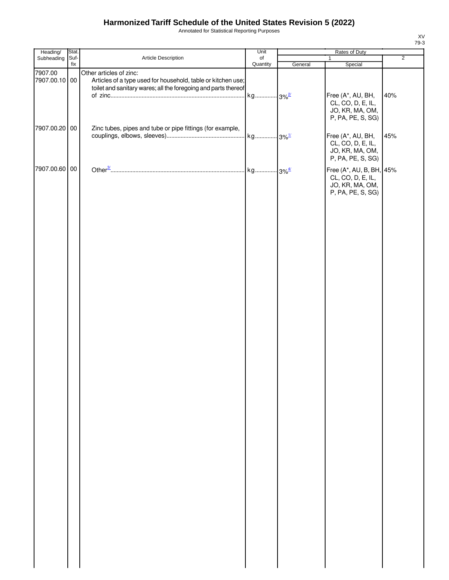# **Harmonized Tariff Schedule of the United States Revision 5 (2022)**

Annotated for Statistical Reporting Purposes

| Heading/                 | Stat.       |                                                                                                                                                           | Unit           | Rates of Duty |                                                                                |                |  |
|--------------------------|-------------|-----------------------------------------------------------------------------------------------------------------------------------------------------------|----------------|---------------|--------------------------------------------------------------------------------|----------------|--|
| Subheading               | Suf-<br>fix | Article Description                                                                                                                                       | of<br>Quantity |               | 1                                                                              | $\overline{2}$ |  |
| 7907.00<br>7907.00.10 00 |             | Other articles of zinc:<br>Articles of a type used for household, table or kitchen use;<br>toilet and sanitary wares; all the foregoing and parts thereof |                | General       | Special                                                                        |                |  |
|                          |             |                                                                                                                                                           |                |               | Free (A*, AU, BH,<br>CL, CO, D, E, IL,<br>JO, KR, MA, OM,<br>P, PA, PE, S, SG) | 40%            |  |
| 7907.00.20 00            |             | Zinc tubes, pipes and tube or pipe fittings (for example,                                                                                                 |                |               | Free (A*, AU, BH,<br>CL, CO, D, E, IL,<br>JO, KR, MA, OM,                      | 45%            |  |
| 7907.00.60 00            |             |                                                                                                                                                           |                |               | P, PA, PE, S, SG)<br>Free (A*, AU, B, BH, 45%<br>CL, CO, D, E, IL,             |                |  |
|                          |             |                                                                                                                                                           |                |               | JO, KR, MA, OM,<br>P, PA, PE, S, SG)                                           |                |  |
|                          |             |                                                                                                                                                           |                |               |                                                                                |                |  |
|                          |             |                                                                                                                                                           |                |               |                                                                                |                |  |
|                          |             |                                                                                                                                                           |                |               |                                                                                |                |  |
|                          |             |                                                                                                                                                           |                |               |                                                                                |                |  |
|                          |             |                                                                                                                                                           |                |               |                                                                                |                |  |
|                          |             |                                                                                                                                                           |                |               |                                                                                |                |  |
|                          |             |                                                                                                                                                           |                |               |                                                                                |                |  |
|                          |             |                                                                                                                                                           |                |               |                                                                                |                |  |
|                          |             |                                                                                                                                                           |                |               |                                                                                |                |  |
|                          |             |                                                                                                                                                           |                |               |                                                                                |                |  |
|                          |             |                                                                                                                                                           |                |               |                                                                                |                |  |
|                          |             |                                                                                                                                                           |                |               |                                                                                |                |  |
|                          |             |                                                                                                                                                           |                |               |                                                                                |                |  |

XV 79-3